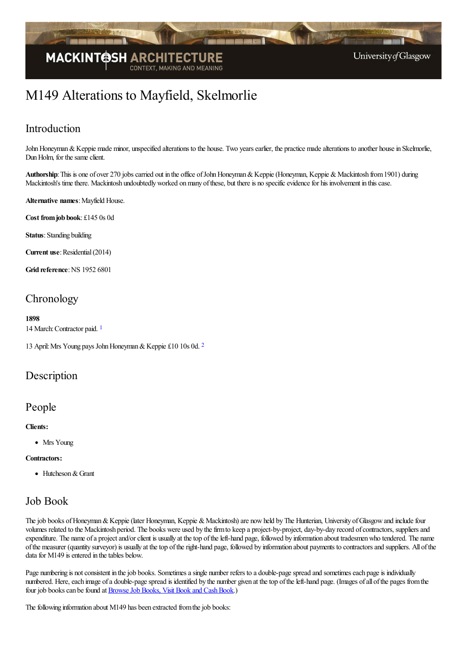

# M149 Alterations to Mayfield, Skelmorlie

# Introduction

John Honeyman & Keppie made minor, unspecified alterations to the house. Two years earlier, the practice made alterations to another house in Skelmorlie, Dun Holm, for the same client.

Authorship: This is one of over 270 jobs carried out in the office of John Honeyman & Keppie (Honeyman, Keppie & Mackintosh from 1901) during Mackintosh's time there. Mackintosh undoubtedly worked on many of these, but there is no specific evidence for his involvement in this case.

#### **Alternative names:** Mayfield House.

**Cost fromjob book**: £145 0s 0d

**Status**: Standing building

**Current use:** Residential (2014)

**Grid reference: NS 1952 6801** 

# **Chronology**

#### **1898**

<span id="page-0-0"></span>14 March:Contractor paid. [1](#page-1-0)

<span id="page-0-1"></span>13 April:Mrs Young pays JohnHoneyman&Keppie £10 10s 0d. [2](#page-1-1)

### Description

### People

#### **Clients:**

• Mrs Young

#### **Contractors:**

• Hutcheson & Grant

## Job Book

The job books of Honeyman & Keppie (later Honeyman, Keppie & Mackintosh) are now held by The Hunterian, University of Glasgow and include four volumes related to the Mackintosh period. The books were used by the firm to keep a project-by-project, day-by-day record of contractors, suppliers and expenditure. The name of a project and/or client is usually at the top of the left-hand page, followed by information about tradesmen who tendered. The name ofthe measurer (quantity surveyor) is usually at thetop oftheright-hand page, followed by information about payments to contractorsand suppliers. All ofthe data for M149 is entered in the tables below.

Page numbering is not consistent in the job books. Sometimes a single number refers to a double-page spread and sometimes each page is individually numbered. Here, each image of a double-page spread is identified by the number given at the top of the left-hand page. (Images of all of the pages from the four job books can be found at Browse Job Books, Visit Book and Cash Book.)

The following information about M149 has been extracted from the job books: